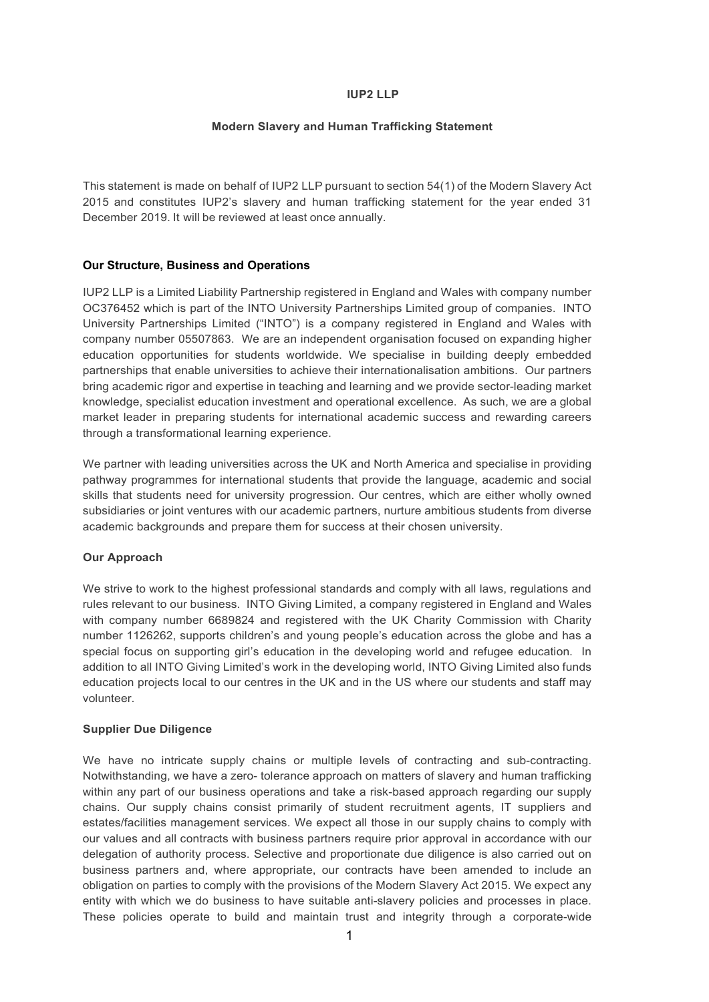### IUP2 LLP

## Modern Slavery and Human Trafficking Statement

This statement is made on behalf of IUP2 LLP pursuant to section 54(1) of the Modern Slavery Act 2015 and constitutes IUP2's slavery and human trafficking statement for the year ended 31 December 2019. It will be reviewed at least once annually.

# Our Structure, Business and Operations

IUP2 LLP is a Limited Liability Partnership registered in England and Wales with company number OC376452 which is part of the INTO University Partnerships Limited group of companies. INTO University Partnerships Limited ("INTO") is a company registered in England and Wales with company number 05507863. We are an independent organisation focused on expanding higher education opportunities for students worldwide. We specialise in building deeply embedded partnerships that enable universities to achieve their internationalisation ambitions. Our partners bring academic rigor and expertise in teaching and learning and we provide sector-leading market knowledge, specialist education investment and operational excellence. As such, we are a global market leader in preparing students for international academic success and rewarding careers through a transformational learning experience.

We partner with leading universities across the UK and North America and specialise in providing pathway programmes for international students that provide the language, academic and social skills that students need for university progression. Our centres, which are either wholly owned subsidiaries or joint ventures with our academic partners, nurture ambitious students from diverse academic backgrounds and prepare them for success at their chosen university.

### Our Approach

We strive to work to the highest professional standards and comply with all laws, regulations and rules relevant to our business. INTO Giving Limited, a company registered in England and Wales with company number 6689824 and registered with the UK Charity Commission with Charity number 1126262, supports children's and young people's education across the globe and has a special focus on supporting girl's education in the developing world and refugee education. In addition to all INTO Giving Limited's work in the developing world, INTO Giving Limited also funds education projects local to our centres in the UK and in the US where our students and staff may volunteer.

# Supplier Due Diligence

We have no intricate supply chains or multiple levels of contracting and sub-contracting. Notwithstanding, we have a zero- tolerance approach on matters of slavery and human trafficking within any part of our business operations and take a risk-based approach regarding our supply chains. Our supply chains consist primarily of student recruitment agents, IT suppliers and estates/facilities management services. We expect all those in our supply chains to comply with our values and all contracts with business partners require prior approval in accordance with our delegation of authority process. Selective and proportionate due diligence is also carried out on business partners and, where appropriate, our contracts have been amended to include an obligation on parties to comply with the provisions of the Modern Slavery Act 2015. We expect any entity with which we do business to have suitable anti-slavery policies and processes in place. These policies operate to build and maintain trust and integrity through a corporate-wide